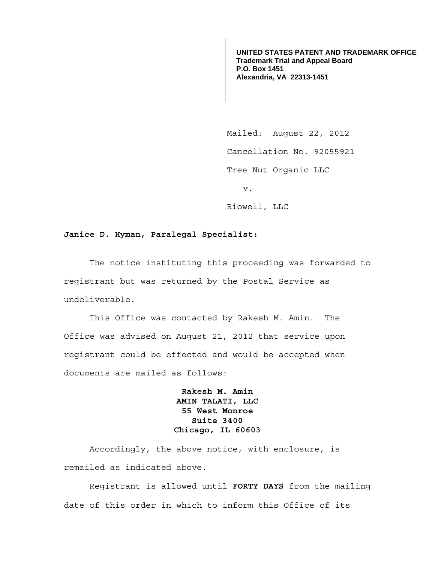**UNITED STATES PATENT AND TRADEMARK OFFICE Trademark Trial and Appeal Board P.O. Box 1451 Alexandria, VA 22313-1451**

Mailed: August 22, 2012 Cancellation No. 92055921 Tree Nut Organic LLC v. Riowell, LLC

## **Janice D. Hyman, Paralegal Specialist:**

 The notice instituting this proceeding was forwarded to registrant but was returned by the Postal Service as undeliverable.

 This Office was contacted by Rakesh M. Amin. The Office was advised on August 21, 2012 that service upon registrant could be effected and would be accepted when documents are mailed as follows:

> **Rakesh M. Amin AMIN TALATI, LLC 55 West Monroe Suite 3400 Chicago, IL 60603**

 Accordingly, the above notice, with enclosure, is remailed as indicated above.

 Registrant is allowed until **FORTY DAYS** from the mailing date of this order in which to inform this Office of its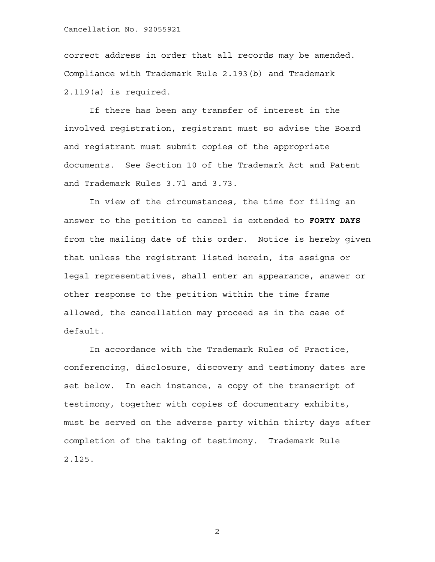## Cancellation No. 92055921

correct address in order that all records may be amended. Compliance with Trademark Rule 2.193(b) and Trademark 2.119(a) is required.

 If there has been any transfer of interest in the involved registration, registrant must so advise the Board and registrant must submit copies of the appropriate documents. See Section 10 of the Trademark Act and Patent and Trademark Rules 3.7l and 3.73.

 In view of the circumstances, the time for filing an answer to the petition to cancel is extended to **FORTY DAYS** from the mailing date of this order. Notice is hereby given that unless the registrant listed herein, its assigns or legal representatives, shall enter an appearance, answer or other response to the petition within the time frame allowed, the cancellation may proceed as in the case of default.

 In accordance with the Trademark Rules of Practice, conferencing, disclosure, discovery and testimony dates are set below. In each instance, a copy of the transcript of testimony, together with copies of documentary exhibits, must be served on the adverse party within thirty days after completion of the taking of testimony. Trademark Rule 2.l25.

2